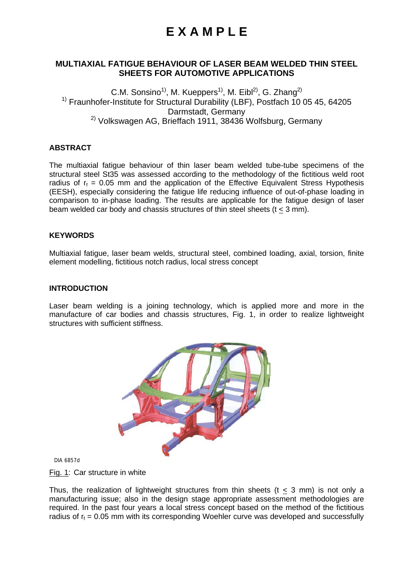### **MULTIAXIAL FATIGUE BEHAVIOUR OF LASER BEAM WELDED THIN STEEL SHEETS FOR AUTOMOTIVE APPLICATIONS**

C.M. Sonsino<sup>1)</sup>, M. Kueppers<sup>1)</sup>, M. Eibl<sup>2)</sup>, G. Zhang<sup>2)</sup> <sup>1)</sup> Fraunhofer-Institute for Structural Durability (LBF), Postfach 10 05 45, 64205 Darmstadt, Germany  $2)$  Volkswagen AG, Brieffach 1911, 38436 Wolfsburg, Germany

### **ABSTRACT**

The multiaxial fatigue behaviour of thin laser beam welded tube-tube specimens of the structural steel St35 was assessed according to the methodology of the fictitious weld root radius of  $r_f = 0.05$  mm and the application of the Effective Equivalent Stress Hypothesis (EESH), especially considering the fatigue life reducing influence of out-of-phase loading in comparison to in-phase loading. The results are applicable for the fatigue design of laser beam welded car body and chassis structures of thin steel sheets (t < 3 mm).

#### **KEYWORDS**

Multiaxial fatigue, laser beam welds, structural steel, combined loading, axial, torsion, finite element modelling, fictitious notch radius, local stress concept

#### **INTRODUCTION**

Laser beam welding is a joining technology, which is applied more and more in the manufacture of car bodies and chassis structures, Fig. 1, in order to realize lightweight structures with sufficient stiffness.



DIA 6857d

Fig. 1: Car structure in white

Thus, the realization of lightweight structures from thin sheets ( $t < 3$  mm) is not only a manufacturing issue; also in the design stage appropriate assessment methodologies are required. In the past four years a local stress concept based on the method of the fictitious radius of  $r_f = 0.05$  mm with its corresponding Woehler curve was developed and successfully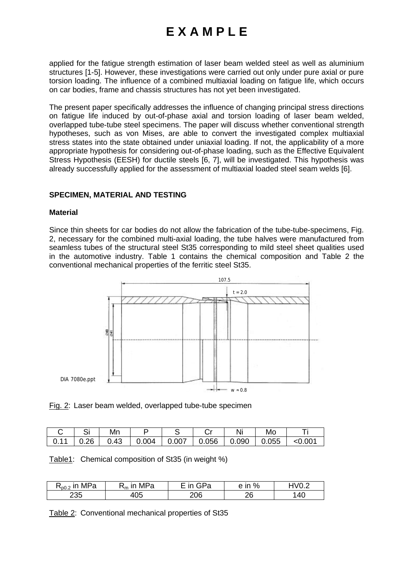applied for the fatigue strength estimation of laser beam welded steel as well as aluminium structures [1-5]. However, these investigations were carried out only under pure axial or pure torsion loading. The influence of a combined multiaxial loading on fatigue life, which occurs on car bodies, frame and chassis structures has not yet been investigated.

The present paper specifically addresses the influence of changing principal stress directions on fatigue life induced by out-of-phase axial and torsion loading of laser beam welded, overlapped tube-tube steel specimens. The paper will discuss whether conventional strength hypotheses, such as von Mises, are able to convert the investigated complex multiaxial stress states into the state obtained under uniaxial loading. If not, the applicability of a more appropriate hypothesis for considering out-of-phase loading, such as the Effective Equivalent Stress Hypothesis (EESH) for ductile steels [6, 7], will be investigated. This hypothesis was already successfully applied for the assessment of multiaxial loaded steel seam welds [6].

#### **SPECIMEN, MATERIAL AND TESTING**

#### **Material**

Since thin sheets for car bodies do not allow the fabrication of the tube-tube-specimens, Fig. 2, necessary for the combined multi-axial loading, the tube halves were manufactured from seamless tubes of the structural steel St35 corresponding to mild steel sheet qualities used in the automotive industry. Table 1 contains the chemical composition and Table 2 the conventional mechanical properties of the ferritic steel St35.



Fig. 2: Laser beam welded, overlapped tube-tube specimen

|  | Mn |  | Nı                                                         | Мc |            |
|--|----|--|------------------------------------------------------------|----|------------|
|  |    |  | 0.11   0.26   0.43   0.004   0.007   0.056   0.090   0.055 |    | ${<}0.004$ |

|  | Table1: Chemical composition of St35 (in weight %) |  |
|--|----------------------------------------------------|--|
|  |                                                    |  |

| MPa<br>$\sim$<br>$\cdot$ <sub>p0.2</sub> | MPa<br>ın<br>١m | GPa<br>ın<br>a | %<br>$\sim$ $\mathsf{m}$<br>c<br> | S OVH |
|------------------------------------------|-----------------|----------------|-----------------------------------|-------|
| 235                                      | 105             | 206            | ገር<br>∼                           | 40    |

Table 2: Conventional mechanical properties of St35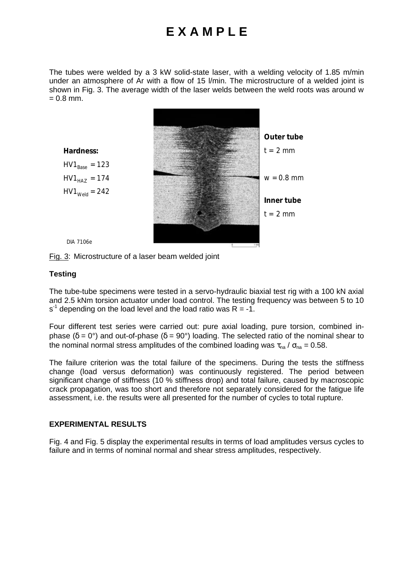The tubes were welded by a 3 kW solid-state laser, with a welding velocity of 1.85 m/min under an atmosphere of Ar with a flow of 15 l/min. The microstructure of a welded joint is shown in Fig. 3. The average width of the laser welds between the weld roots was around w  $= 0.8$  mm.



Fig. 3: Microstructure of a laser beam welded joint

#### **Testing**

The tube-tube specimens were tested in a servo-hydraulic biaxial test rig with a 100 kN axial and 2.5 kNm torsion actuator under load control. The testing frequency was between 5 to 10 s<sup>-1</sup> depending on the load level and the load ratio was R = -1.

Four different test series were carried out: pure axial loading, pure torsion, combined inphase ( $\delta = 0^{\circ}$ ) and out-of-phase ( $\delta = 90^{\circ}$ ) loading. The selected ratio of the nominal shear to the nominal normal stress amplitudes of the combined loading was  $\tau_{na}$  /  $\sigma_{na}$  = 0.58.

The failure criterion was the total failure of the specimens. During the tests the stiffness change (load versus deformation) was continuously registered. The period between significant change of stiffness (10 % stiffness drop) and total failure, caused by macroscopic crack propagation, was too short and therefore not separately considered for the fatigue life assessment, i.e. the results were all presented for the number of cycles to total rupture.

#### **EXPERIMENTAL RESULTS**

Fig. 4 and Fig. 5 display the experimental results in terms of load amplitudes versus cycles to failure and in terms of nominal normal and shear stress amplitudes, respectively.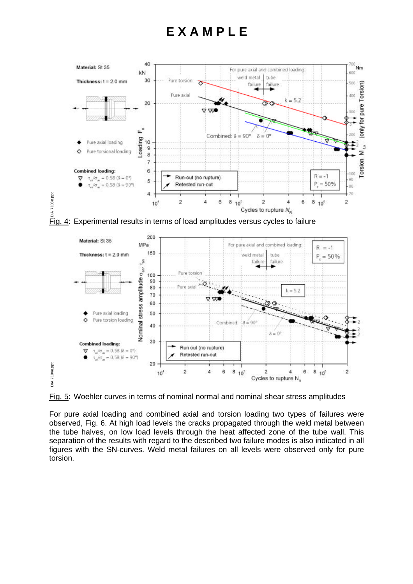



Fig. 5: Woehler curves in terms of nominal normal and nominal shear stress amplitudes

For pure axial loading and combined axial and torsion loading two types of failures were observed, Fig. 6. At high load levels the cracks propagated through the weld metal between the tube halves, on low load levels through the heat affected zone of the tube wall. This separation of the results with regard to the described two failure modes is also indicated in all figures with the SN-curves. Weld metal failures on all levels were observed only for pure torsion.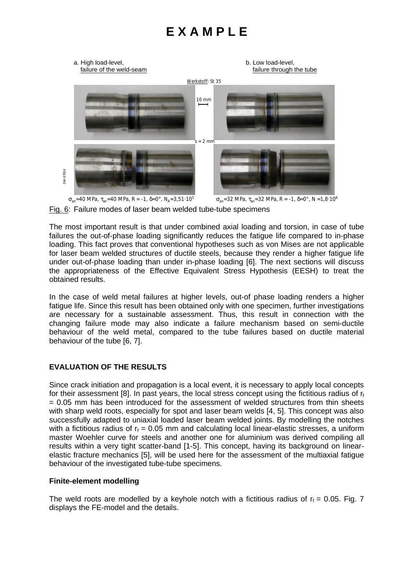

Fig. 6: Failure modes of laser beam welded tube-tube specimens

The most important result is that under combined axial loading and torsion, in case of tube failures the out-of-phase loading significantly reduces the fatigue life compared to in-phase loading. This fact proves that conventional hypotheses such as von Mises are not applicable for laser beam welded structures of ductile steels, because they render a higher fatigue life under out-of-phase loading than under in-phase loading [6]. The next sections will discuss the appropriateness of the Effective Equivalent Stress Hypothesis (EESH) to treat the obtained results.

In the case of weld metal failures at higher levels, out-of phase loading renders a higher fatigue life. Since this result has been obtained only with one specimen, further investigations are necessary for a sustainable assessment. Thus, this result in connection with the changing failure mode may also indicate a failure mechanism based on semi-ductile behaviour of the weld metal, compared to the tube failures based on ductile material behaviour of the tube [6, 7].

### **EVALUATION OF THE RESULTS**

Since crack initiation and propagation is a local event, it is necessary to apply local concepts for their assessment [8]. In past years, the local stress concept using the fictitious radius of  $r_f$ = 0.05 mm has been introduced for the assessment of welded structures from thin sheets with sharp weld roots, especially for spot and laser beam welds [4, 5]. This concept was also successfully adapted to uniaxial loaded laser beam welded joints. By modelling the notches with a fictitious radius of  $r_f = 0.05$  mm and calculating local linear-elastic stresses, a uniform master Woehler curve for steels and another one for aluminium was derived compiling all results within a very tight scatter-band [1-5]. This concept, having its background on linearelastic fracture mechanics [5], will be used here for the assessment of the multiaxial fatigue behaviour of the investigated tube-tube specimens.

### **Finite-element modelling**

The weld roots are modelled by a keyhole notch with a fictitious radius of  $r_f = 0.05$ . Fig. 7 displays the FE-model and the details.